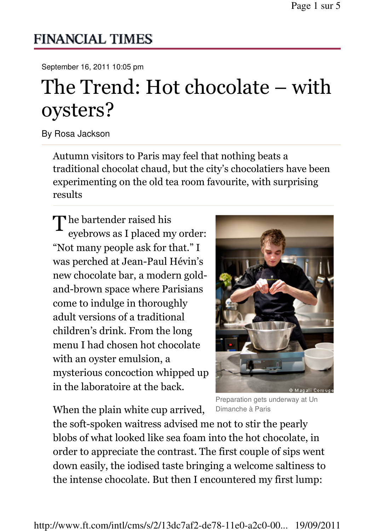## **FINANCIAL TIMES**

September 16, 2011 10:05 pm

## The Trend: Hot chocolate – with oysters?

By Rosa Jackson

Autumn visitors to Paris may feel that nothing beats a traditional chocolat chaud, but the city's chocolatiers have been experimenting on the old tea room favourite, with surprising results

The bartender raised his<br>evebrows as I placed my eyebrows as I placed my order: "Not many people ask for that." I was perched at Jean-Paul Hévin's new chocolate bar, a modern goldand-brown space where Parisians come to indulge in thoroughly adult versions of a traditional children's drink. From the long menu I had chosen hot chocolate with an oyster emulsion, a mysterious concoction whipped up in the laboratoire at the back.

When the plain white cup arrived,

Preparation gets underway at Un Dimanche à Paris

the soft-spoken waitress advised me not to stir the pearly blobs of what looked like sea foam into the hot chocolate, in order to appreciate the contrast. The first couple of sips went down easily, the iodised taste bringing a welcome saltiness to the intense chocolate. But then I encountered my first lump: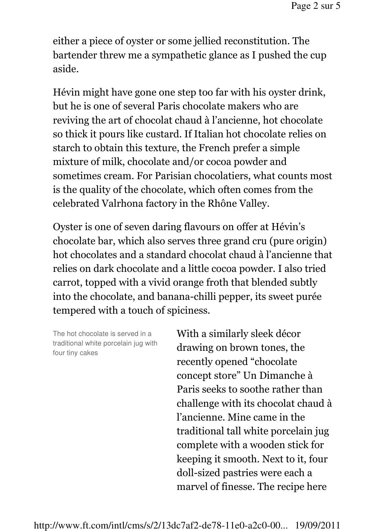either a piece of oyster or some jellied reconstitution. The bartender threw me a sympathetic glance as I pushed the cup aside.

Hévin might have gone one step too far with his oyster drink, but he is one of several Paris chocolate makers who are reviving the art of chocolat chaud à l'ancienne, hot chocolate so thick it pours like custard. If Italian hot chocolate relies on starch to obtain this texture, the French prefer a simple mixture of milk, chocolate and/or cocoa powder and sometimes cream. For Parisian chocolatiers, what counts most is the quality of the chocolate, which often comes from the celebrated Valrhona factory in the Rhône Valley.

Oyster is one of seven daring flavours on offer at Hévin's chocolate bar, which also serves three grand cru (pure origin) hot chocolates and a standard chocolat chaud à l'ancienne that relies on dark chocolate and a little cocoa powder. I also tried carrot, topped with a vivid orange froth that blended subtly into the chocolate, and banana-chilli pepper, its sweet purée tempered with a touch of spiciness.

The hot chocolate is served in a traditional white porcelain jug with four tiny cakes

With a similarly sleek décor drawing on brown tones, the recently opened "chocolate concept store" Un Dimanche à Paris seeks to soothe rather than challenge with its chocolat chaud à l'ancienne. Mine came in the traditional tall white porcelain jug complete with a wooden stick for keeping it smooth. Next to it, four doll-sized pastries were each a marvel of finesse. The recipe here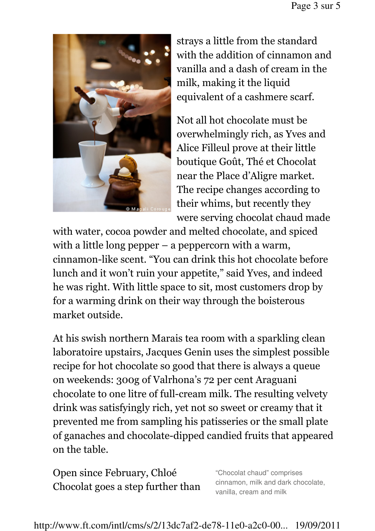

strays a little from the standard with the addition of cinnamon and vanilla and a dash of cream in the milk, making it the liquid equivalent of a cashmere scarf.

Not all hot chocolate must be overwhelmingly rich, as Yves and Alice Filleul prove at their little boutique Goût, Thé et Chocolat near the Place d'Aligre market. The recipe changes according to their whims, but recently they were serving chocolat chaud made

with water, cocoa powder and melted chocolate, and spiced with a little long pepper – a peppercorn with a warm, cinnamon-like scent. "You can drink this hot chocolate before lunch and it won't ruin your appetite," said Yves, and indeed he was right. With little space to sit, most customers drop by for a warming drink on their way through the boisterous market outside.

At his swish northern Marais tea room with a sparkling clean laboratoire upstairs, Jacques Genin uses the simplest possible recipe for hot chocolate so good that there is always a queue on weekends: 300g of Valrhona's 72 per cent Araguani chocolate to one litre of full-cream milk. The resulting velvety drink was satisfyingly rich, yet not so sweet or creamy that it prevented me from sampling his patisseries or the small plate of ganaches and chocolate-dipped candied fruits that appeared on the table.

Open since February, Chloé Chocolat goes a step further than

"Chocolat chaud" comprises cinnamon, milk and dark chocolate, vanilla, cream and milk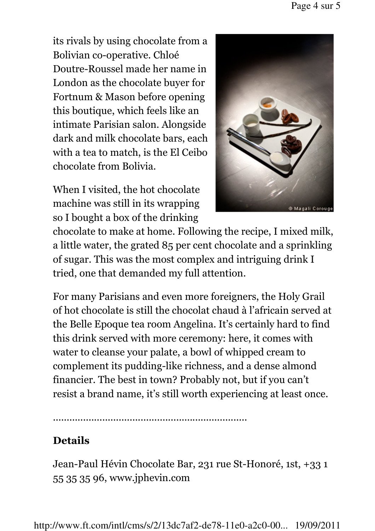its rivals by using chocolate from a Bolivian co-operative. Chloé Doutre-Roussel made her name in London as the chocolate buyer for Fortnum & Mason before opening this boutique, which feels like an intimate Parisian salon. Alongside dark and milk chocolate bars, each with a tea to match, is the El Ceibo chocolate from Bolivia.

When I visited, the hot chocolate machine was still in its wrapping so I bought a box of the drinking



chocolate to make at home. Following the recipe, I mixed milk, a little water, the grated 85 per cent chocolate and a sprinkling of sugar. This was the most complex and intriguing drink I tried, one that demanded my full attention.

For many Parisians and even more foreigners, the Holy Grail of hot chocolate is still the chocolat chaud à l'africain served at the Belle Epoque tea room Angelina. It's certainly hard to find this drink served with more ceremony: here, it comes with water to cleanse your palate, a bowl of whipped cream to complement its pudding-like richness, and a dense almond financier. The best in town? Probably not, but if you can't resist a brand name, it's still worth experiencing at least once.

.......................................................................

## Details

Jean-Paul Hévin Chocolate Bar, 231 rue St-Honoré, 1st, +33 1 55 35 35 96, www.jphevin.com